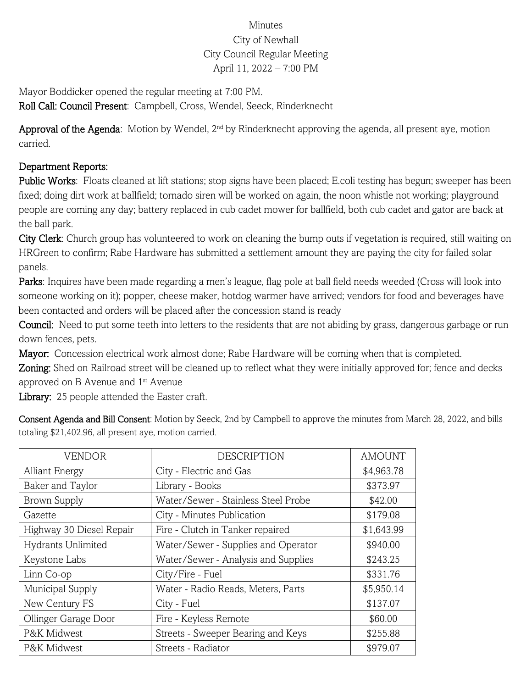## Minutes City of Newhall City Council Regular Meeting April 11, 2022 – 7:00 PM

Mayor Boddicker opened the regular meeting at 7:00 PM. Roll Call: Council Present: Campbell, Cross, Wendel, Seeck, Rinderknecht

Approval of the Agenda: Motion by Wendel, 2<sup>nd</sup> by Rinderknecht approving the agenda, all present aye, motion carried.

## Department Reports:

Public Works: Floats cleaned at lift stations; stop signs have been placed; E.coli testing has begun; sweeper has been fixed; doing dirt work at ballfield; tornado siren will be worked on again, the noon whistle not working; playground people are coming any day; battery replaced in cub cadet mower for ballfield, both cub cadet and gator are back at the ball park.

City Clerk: Church group has volunteered to work on cleaning the bump outs if vegetation is required, still waiting on HRGreen to confirm; Rabe Hardware has submitted a settlement amount they are paying the city for failed solar panels.

Parks: Inquires have been made regarding a men's league, flag pole at ball field needs weeded (Cross will look into someone working on it); popper, cheese maker, hotdog warmer have arrived; vendors for food and beverages have been contacted and orders will be placed after the concession stand is ready

Council: Need to put some teeth into letters to the residents that are not abiding by grass, dangerous garbage or run down fences, pets.

Mayor: Concession electrical work almost done; Rabe Hardware will be coming when that is completed.

Zoning: Shed on Railroad street will be cleaned up to reflect what they were initially approved for; fence and decks approved on B Avenue and 1<sup>st</sup> Avenue

Library: 25 people attended the Easter craft.

Consent Agenda and Bill Consent: Motion by Seeck, 2nd by Campbell to approve the minutes from March 28, 2022, and bills totaling \$21,402.96, all present aye, motion carried.

| <b>VENDOR</b>            | <b>DESCRIPTION</b>                  | <b>AMOUNT</b> |
|--------------------------|-------------------------------------|---------------|
| <b>Alliant Energy</b>    | City - Electric and Gas             | \$4,963.78    |
| Baker and Taylor         | Library - Books                     | \$373.97      |
| <b>Brown Supply</b>      | Water/Sewer - Stainless Steel Probe | \$42.00       |
| Gazette                  | City - Minutes Publication          | \$179.08      |
| Highway 30 Diesel Repair | Fire - Clutch in Tanker repaired    | \$1,643.99    |
| Hydrants Unlimited       | Water/Sewer - Supplies and Operator | \$940.00      |
| Keystone Labs            | Water/Sewer - Analysis and Supplies | \$243.25      |
| Linn Co-op               | City/Fire - Fuel                    | \$331.76      |
| Municipal Supply         | Water - Radio Reads, Meters, Parts  | \$5,950.14    |
| New Century FS           | City - Fuel                         | \$137.07      |
| Ollinger Garage Door     | Fire - Keyless Remote               | \$60.00       |
| P&K Midwest              | Streets - Sweeper Bearing and Keys  | \$255.88      |
| P&K Midwest              | Streets - Radiator                  | \$979.07      |